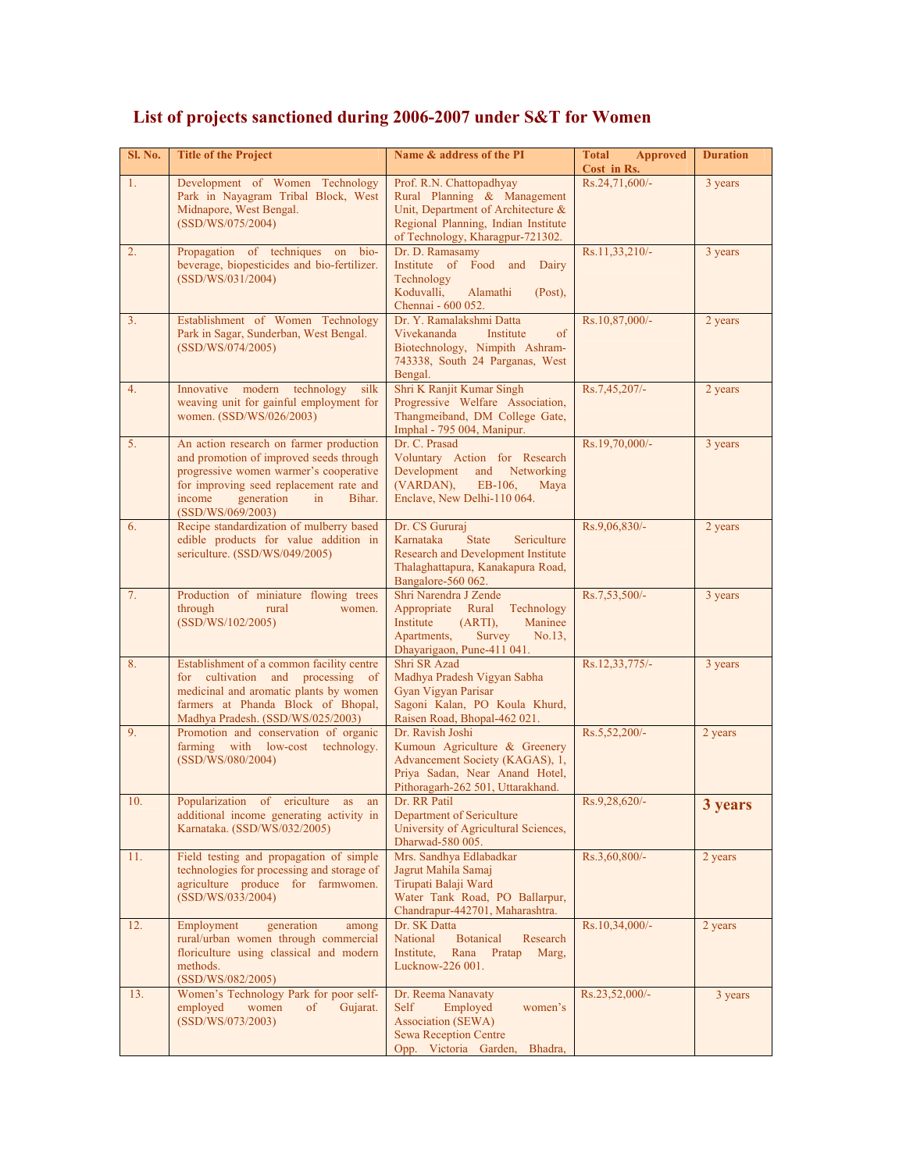| Sl. No. | <b>Title of the Project</b>                                                                                                                                                                                                          | Name & address of the PI                                                                                                                                                 | <b>Total</b><br><b>Approved</b><br>Cost in Rs. | <b>Duration</b> |
|---------|--------------------------------------------------------------------------------------------------------------------------------------------------------------------------------------------------------------------------------------|--------------------------------------------------------------------------------------------------------------------------------------------------------------------------|------------------------------------------------|-----------------|
| 1.      | Development of Women Technology<br>Park in Nayagram Tribal Block, West<br>Midnapore, West Bengal.<br>(SSD/WS/075/2004)                                                                                                               | Prof. R.N. Chattopadhyay<br>Rural Planning & Management<br>Unit, Department of Architecture &<br>Regional Planning, Indian Institute<br>of Technology, Kharagpur-721302. | Rs.24,71,600/-                                 | 3 years         |
| 2.      | Propagation of techniques<br>on bio-<br>beverage, biopesticides and bio-fertilizer.<br>(SSD/WS/031/2004)                                                                                                                             | Dr. D. Ramasamy<br>Institute of Food and<br>Dairy<br>Technology<br>Koduvalli,<br>Alamathi<br>$(Post)$ ,<br>Chennai - 600 052.                                            | Rs.11,33,210/-                                 | 3 years         |
| 3.      | Establishment of Women Technology<br>Park in Sagar, Sunderban, West Bengal.<br>(SSD/WS/074/2005)                                                                                                                                     | Dr. Y. Ramalakshmi Datta<br>Vivekananda<br>Institute<br>of<br>Biotechnology, Nimpith Ashram-<br>743338, South 24 Parganas, West<br>Bengal.                               | Rs.10,87,000/-                                 | 2 years         |
| 4.      | Innovative modern technology<br>silk<br>weaving unit for gainful employment for<br>women. (SSD/WS/026/2003)                                                                                                                          | Shri K Ranjit Kumar Singh<br>Progressive Welfare Association,<br>Thangmeiband, DM College Gate,<br>Imphal - 795 004, Manipur.                                            | Rs.7,45,207/-                                  | 2 years         |
| 5.      | An action research on farmer production<br>and promotion of improved seeds through<br>progressive women warmer's cooperative<br>for improving seed replacement rate and<br>income<br>generation<br>in<br>Bihar.<br>(SSD/WS/069/2003) | Dr. C. Prasad<br>Voluntary Action for Research<br>Development<br>Networking<br>and<br>(VARDAN),<br>EB-106,<br>Maya<br>Enclave, New Delhi-110 064.                        | Rs.19,70,000/-                                 | 3 years         |
| 6.      | Recipe standardization of mulberry based<br>edible products for value addition in<br>sericulture. (SSD/WS/049/2005)                                                                                                                  | Dr. CS Gururai<br>Karnataka<br><b>State</b><br>Sericulture<br>Research and Development Institute<br>Thalaghattapura, Kanakapura Road,<br>Bangalore-560 062.              | Rs.9,06,830/-                                  | 2 years         |
| 7.      | Production of miniature flowing trees<br>through<br>rural<br>women.<br>(SSD/WS/102/2005)                                                                                                                                             | Shri Narendra J Zende<br>Appropriate Rural<br>Technology<br>Institute<br>(ARTI),<br>Maninee<br>Apartments,<br>Survey<br>No.13,<br>Dhayarigaon, Pune-411 041.             | Rs.7,53,500/-                                  | 3 years         |
| 8.      | Establishment of a common facility centre<br>for cultivation<br>and processing of<br>medicinal and aromatic plants by women<br>farmers at Phanda Block of Bhopal,<br>Madhya Pradesh. (SSD/WS/025/2003)                               | Shri SR Azad<br>Madhya Pradesh Vigyan Sabha<br>Gyan Vigyan Parisar<br>Sagoni Kalan, PO Koula Khurd,<br>Raisen Road, Bhopal-462 021.                                      | Rs.12,33,775/-                                 | 3 years         |
| 9.      | Promotion and conservation of organic<br>farming with low-cost technology.<br>(SSD/WS/080/2004)                                                                                                                                      | Dr. Ravish Joshi<br>Kumoun Agriculture & Greenery<br>Advancement Society (KAGAS), 1,<br>Priya Sadan, Near Anand Hotel,<br>Pithoragarh-262 501, Uttarakhand.              | Rs.5,52,200/-                                  | 2 years         |
| 10.     | ericulture<br>Popularization<br>$\sigma$<br>as<br>an<br>additional income generating activity in<br>Karnataka. (SSD/WS/032/2005)                                                                                                     | Dr. RR Patil<br>Department of Sericulture<br>University of Agricultural Sciences,<br>Dharwad-580 005.                                                                    | Rs.9,28,620/-                                  | 3 years         |
| 11.     | Field testing and propagation of simple<br>technologies for processing and storage of<br>agriculture produce for farmwomen.<br>(SSD/WS/033/2004)                                                                                     | Mrs. Sandhya Edlabadkar<br>Jagrut Mahila Samaj<br>Tirupati Balaji Ward<br>Water Tank Road, PO Ballarpur,<br>Chandrapur-442701, Maharashtra.                              | Rs.3,60,800/-                                  | 2 years         |
| 12.     | Employment<br>generation<br>among<br>rural/urban women through commercial<br>floriculture using classical and modern<br>methods.<br>(SSD/WS/082/2005)                                                                                | Dr. SK Datta<br><b>Botanical</b><br>National<br>Research<br>Institute,<br>Rana<br>Pratap<br>Marg,<br>Lucknow-226 001.                                                    | Rs.10,34,000/-                                 | 2 years         |
| 13.     | Women's Technology Park for poor self-<br>employed<br>women<br>of<br>Gujarat.<br>(SSD/WS/073/2003)                                                                                                                                   | Dr. Reema Nanavaty<br>Self<br>Employed<br>women's<br><b>Association (SEWA)</b><br><b>Sewa Reception Centre</b><br>Opp. Victoria Garden, Bhadra,                          | $Rs.23,52,000/-$                               | 3 years         |

## **List of projects sanctioned during 2006-2007 under S&T for Women**